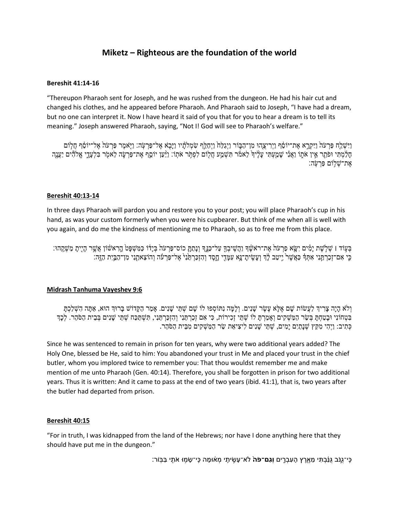# **Miketz – Righteous are the foundation of the world**

### **Bereshit 41:14-16**

"Thereupon Pharaoh sent for Joseph, and he was rushed from the dungeon. He had his hair cut and changed his clothes, and he appeared before Pharaoh. And Pharaoh said to Joseph, "I have had a dream, but no one can interpret it. Now I have heard it said of you that for you to hear a dream is to tell its meaning." Joseph answered Pharaoh, saying, "Not I! God will see to Pharaoh's welfare."

ַוַּיִשָׁלֵח פַּרְעֹה וַיִּקְרֵא אֶת־יוֹסֶף וַיִרִיצָהוּ מְן־הַבְּוֹר וַיְגַלַּח וַיְחַלֵּף עַזְמִלהַ֫י וַיָּאמֶר פַּרְעֹה אֱל־יוֹסֶף חַלְוֹם ּחָלֵ֫מְתִּי וּפֹתֵר אֵין אֹתֶוֹ וַאֲנִי שָׁמַעְתִּי עָלֶיךָ לֵאמֹר תִּשְׁמַע חֲלוֹם לִפְתִּר אֹתְוֹ: וַיַּעֲן יוֹסֵף אֶת־פַּרְעָּה לֵאמֹר בִּלְעָדֶי אֱלֹהִים יַעֲנֶה ָאֶת־שָׁלִוֹּם פַּּרעָׂה:

## **Bereshit 40:13-14**

In three days Pharaoh will pardon you and restore you to your post; you will place Pharaoh's cup in his hand, as was your custom formerly when you were his cupbearer. But think of me when all is well with you again, and do me the kindness of mentioning me to Pharaoh, so as to free me from this place.

ּבְּעִוֹד וּ שְׁלְשֶׁת יָמִים יִשָּׂא פַרְעֹה אֶת־רֹאשֶׁךְ וַהֲשִׁיבְךָ עַל־כַּנֵּךְ וְנָתַתָּ כוֹס־פַּרְעֹה בְּיָיֹה כַּמִּשְׁפָּטֹ הָרִאשֹׁוֹן אֲשֶׁר הָיָיִתָ מַשְׁקֵהוּ: ּכֵּי אִם־זָכַרְתַּנִי אִתִּֽדְּ כַּאֲשֵׁר יֵיטַב לַׂךְ וִעֲשִׂיתָ־נָא עִמָּדִי חֲסֶד וְהִזְכַּרְתַּנְ אֶל־פַּרְעֹּה וְהוֹצֵאתַנִי מִן־הַבֵּיִת הַזֶּה:

## **Midrash Tanhuma Vayeshev 9:6**

וְלֹא הָיָה צַרִידְ לַעֲשׂוֹת שָׁם אֵלָּא עֵשֶׂר שַׁנִים. וְלַמַּה נִתּוֹסְפוּ לוֹ שַׁם שְׁתֵּי שַׁנִים. אַמַר הַקַּדוֹש בַּרוּךְ הוּא, אַתָּה הִשְׁלַכְתַּ בִּטְהוֹנִי וּבַטַחָתַּ בְּשֶׂר הַמַּשְׁקִים וְאַמַרתַּ לוֹ שָׁתֵי זָכִירוֹת, כִּי אָם זְכַרְתַּנִי וְהִזְכַרְתַּנִי, תִּשְׁתַּכָּה שָׁתֵּי שַׁנִים בְּבֵית הַסֹּהָר. לִכְךְ ْ כְּתִיב: וַיְהִי מְקֵץ שָׁנָתַיִם יַמִּים, שֶׁתֵּי שַׁנִּים לִיצִיאַת שֵׂר הַמַּשְׁקִים מִבֵּית הַסֹּהַר.

Since he was sentenced to remain in prison for ten years, why were two additional years added? The Holy One, blessed be He, said to him: You abandoned your trust in Me and placed your trust in the chief butler, whom you implored twice to remember you: That thou wouldst remember me and make mention of me unto Pharaoh [\(Gen. 40:14\)](/Genesis.40.14). Therefore, you shall be forgotten in prison for two additional years. Thus it is written: And it came to pass at the end of two years (ibid. 41:1), that is, two years after the butler had departed from prison.

## **Bereshit 40:15**

"For in truth, I was kidnapped from the land of the Hebrews; nor have I done anything here that they should have put me in the dungeon."

ָּכִּי־גֵנּב גֶּנָּבְתִּי מֵאֶרֵץ הָעִבְרֵים **וְגַם־פֹה** לֹא־עָשֵׂיתֵי מְאֹוּמָה כֵּי־שָׂמְוּ אֹתָי בַּבְּוֹר: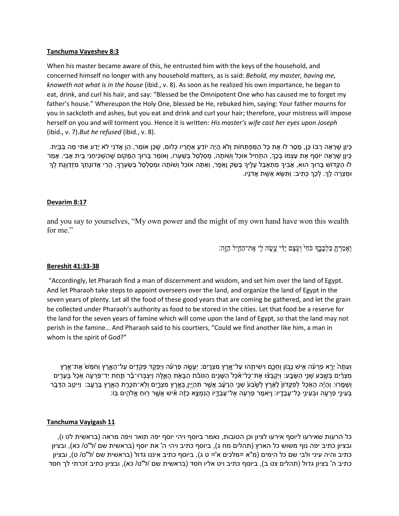### **Tanchuma Vayeshev 8:3**

When his master became aware of this, he entrusted him with the keys of the household, and concerned himself no longer with any household matters, as is said: *Behold, my master, having me, knoweth not what is in the house* (ibid., v. 8). As soon as he realized his own importance, he began to eat, drink, and curl his hair, and say: "Blessed be the Omnipotent One who has caused me to forget my father's house." Whereupon the Holy One, blessed be He, rebuked him, saying: Your father mourns for you in sackcloth and ashes, but you eat and drink and curl your hair; therefore, your mistress will impose herself on you and will torment you. Hence it is written: *His master's wife cast her eyes upon Joseph* (ibid., v. 7).*But he refused* (ibid., v. 8).

ָּכֵּיְןן שֶׁרָאָה רַבּוֹ כֵּן, מָסָר לוֹ אֶת כָּל הַמַּפְתֵּחוֹת וְלֹא הָיָה יוֹדֵע אַחֲרָיו כְּלוּם, שֶׁכֵּן אוֹמֵר, הֵן אֲדֹנִי לֹא יָדַע אִתִּי מַה בַּבָּיִת. ְּכֵּיוָן שֶׁרָאָה יוֹסֵף אֶת עַצְמוֹ בְּכָךְ, הְתָחִיל אוֹכֶל וְשׁותֶה, מִסְלְסֵל בְּשִׁעָרוֹ, וְאוֹמֶר בָּרוּךְ הַמָּקוֹם שֶׁהְשָׁכִּיחַנִי בֵּית אָבִי. אָמַר לֹו הַקְּדוֹש בָרוּךְ הוּא, אָבִיךְ מִתְאַבֵּל עָלֶיךָ בְשֹׁק וָאֵפֶר, וְאַתָּה אוֹכֵל וְשֹוֹתֶה וּמְסַלְסֵל בְשֹעְרֶךְ, הֲרֵי אֲדוֹנָתְךָ מִזְדַוֶּגֶת לְךָ ּוּמְצֵרָה לָךָ. לְכָךְ כְּתִיב: וַתִּשָּׂא אֵשֶׁת אֲדֹנָיו.

## **Devarim 8:17**

and you say to yourselves, "My own power and the might of my own hand have won this wealth for me."

וְאָמַרְתָּ בְּלִבָּבֶךְ כֹּחִ<sup>ְ</sup> וְעָׂצֶם יַדִּי עֲשָׂה לִי אֶת־הַחַיִּל הַזֶּה:

#### **Bereshit 41:33-38**

"Accordingly, let Pharaoh find a man of discernment and wisdom, and set him over the land of Egypt. And let Pharaoh take steps to appoint overseers over the land, and organize the land of Egypt in the seven years of plenty. Let all the food of these good years that are coming be gathered, and let the grain be collected under Pharaoh's authority as food to be stored in the cities. Let that food be a reserve for the land for the seven years of famine which will come upon the land of Egypt, so that the land may not perish in the famine… And Pharaoh said to his courtiers, "Could we find another like him, a man in whom is the spirit of God?"

וְעַתָּה יֵרֶא פַרְעֹה אִישׁ נָבֹון וְחָכֶם וִישִׁיתֵהוּ עַל־אֱרֵץ מִצְרֵיִם: יַעֲשֶׂה פַרְעֹה וְיַפְקֵדֶ פְּקָדֶים עַל־הָאָרֵץ וְחִמֵּשׁ אֶת־אֶרֶץ ְמִצְרָ֔ה בְּשֶׁבַע שָׁנֵי הַשָּׂבַע׃ וְיִקְבָּצֹוּ אֶת־כָּל־אָכֶל הַשָּׁנֵים הַטּבֹּת הַבָּאָלֶה וְיָצְבָּרוּ־בָר תַּחַת יַד־פַּרְעָה אָכֶל בֶעָרִים ּוְשָׁמֶרוּ: וְהָיָ֫ה הָאָכֶל לְפִקֵּדוֹן לָאָרֶץ לְשֶׁבָע שָׁנֵי הָרַעָּב אֲשֶׁר תְּהָיֵיְן בָּאֲרֶץ מִצְרֵיִם וְלֹא־תִכְּרֶת הָאָרֶץ בָּרַעֲב: וַיִּיטֵב הַדָּבֶר ַּבְעֵינֵי פַרְעֶה וּבְעֵינֵי כָּל־עֲבָדֶיו: וָיֹּאמֶר פַּרְעָׂה אֶל־עֲבָדֶיו הֲנִמְצֶא כָזֶה אִישׁ אֲשֱר רָוּחַ אֱלֹהִים בְּוֹ:

## **Tanchuma Vayigash 11**

כל הרעות שאירעו ליוסף אירעו לציון וכן הטובות, נאמר ביוסף ויהי יוסף יפה תואר ויפה מראה )בראשית לט ו(, ובציון כתיב יפה נוף משוש כל הארץ (תהלים מח ג), ביוסף כתיב ויהי ה' את יוסף (בראשית שם /ל"ט/ כא), ובציון כתיב והיה עיני ולבי שם כל הימים (מ"א =מלכים א'= ט ג), ביוסף כתיב איננו גדול (בראשית שם /ל"ט/ ט), ובציון כתיב ה' בציון גדול (תהלים צט ב), ביוסף כתיב ויט אליו חסד (בראשית שם /ל"ט/ כא), ובציון כתיב זכרתי לך חסד